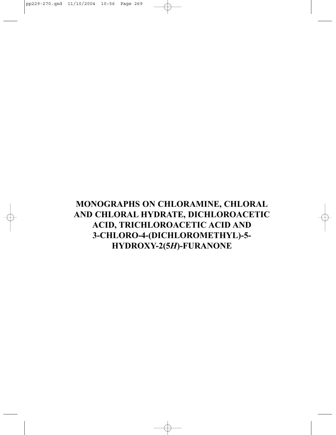## **MONOGRAPHS ON CHLORAMINE, CHLORAL AND CHLORAL HYDRATE, DICHLOROACETIC ACID, TRICHLOROACETIC ACID AND 3-CHLORO-4-(DICHLOROMETHYL)-5- HYDROXY-2(5***H***)-FURANONE**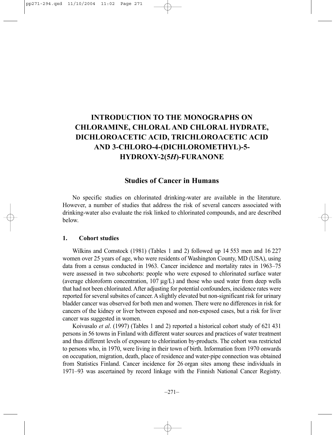## **INTRODUCTION TO THE MONOGRAPHS ON CHLORAMINE, CHLORAL AND CHLORAL HYDRATE, DICHLOROACETIC ACID, TRICHLOROACETIC ACID AND 3-CHLORO-4-(DICHLOROMETHYL)-5- HYDROXY-2(5***H***)-FURANONE**

#### **Studies of Cancer in Humans**

No specific studies on chlorinated drinking-water are available in the literature. However, a number of studies that address the risk of several cancers associated with drinking-water also evaluate the risk linked to chlorinated compounds, and are described below.

#### **1. Cohort studies**

Wilkins and Comstock (1981) (Tables 1 and 2) followed up 14 553 men and 16 227 women over 25 years of age, who were residents of Washington County, MD (USA), using data from a census conducted in 1963. Cancer incidence and mortality rates in 1963–75 were assessed in two subcohorts: people who were exposed to chlorinated surface water (average chloroform concentration,  $107 \mu g/L$ ) and those who used water from deep wells that had not been chlorinated. After adjusting for potential confounders, incidence rates were reported for several subsites of cancer. A slightly elevated but non-significant risk for urinary bladder cancer was observed for both men and women. There were no differences in risk for cancers of the kidney or liver between exposed and non-exposed cases, but a risk for liver cancer was suggested in women.

Koivusalo *et al*. (1997) (Tables 1 and 2) reported a historical cohort study of 621 431 persons in 56 towns in Finland with different water sources and practices of water treatment and thus different levels of exposure to chlorination by-products. The cohort was restricted to persons who, in 1970, were living in their town of birth. Information from 1970 onwards on occupation, migration, death, place of residence and water-pipe connection was obtained from Statistics Finland. Cancer incidence for 26 organ sites among these individuals in 1971–93 was ascertained by record linkage with the Finnish National Cancer Registry.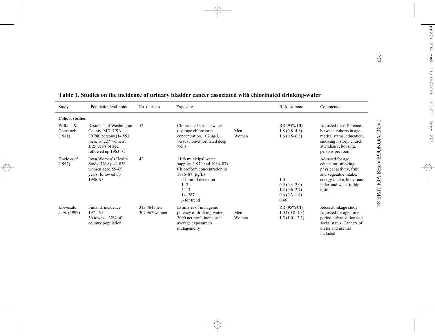|                                                          |                                                                                                                                                |                              | Table 1. Studies on the incidence of urinary bladder cancer associated with chlorinated drinking-water                                                                                   |              |                                                                   |                                                                                                                                                              |
|----------------------------------------------------------|------------------------------------------------------------------------------------------------------------------------------------------------|------------------------------|------------------------------------------------------------------------------------------------------------------------------------------------------------------------------------------|--------------|-------------------------------------------------------------------|--------------------------------------------------------------------------------------------------------------------------------------------------------------|
| Study                                                    | Population/end-point                                                                                                                           | No. of cases                 | Exposure                                                                                                                                                                                 |              | Risk estimate                                                     | Comments                                                                                                                                                     |
| <b>Cohort studies</b><br>Wilkins &<br>Comstock<br>(1981) | Residents of Washington<br>County, MD, USA<br>30 780 persons (14 553)<br>men, 16 227 women),<br>$\geq$ 25 years of age,<br>followed up 1963-75 | 52                           | Chlorinated surface water<br>(average chloroform<br>concentration, $107 \mu g/L$ )<br>versus non-chlorinated deep<br>wells                                                               | Men<br>Women | RR (95% CI)<br>$1.8(0.8-4.8)$<br>$1.6(0.5-6.3)$                   | Adjusted for differences<br>between cohorts in age.<br>marital status, education,<br>smoking history, church<br>attendance, housing,<br>persons per room     |
| Doyle et al.<br>(1997)                                   | Iowa Women's Health<br>Study (USA): 41 836<br>women aged 55–69<br>years, followed up<br>1986-93                                                | 42                           | 1108 municipal water<br>supplies (1979 and 1986–87)<br>Chloroform concentration in<br>1986-87 ( $\mu$ g/L)<br>< limit of detection<br>$1 - 2$<br>$3 - 13$<br>$14 - 287$<br>$p$ for trend |              | 1.0<br>$0.9(0.4-2.0)$<br>$1.2(0.6-2.7)$<br>$0.6(0.3-1.6)$<br>0.46 | Adjusted for age,<br>education, smoking,<br>physical activity, fruit<br>and vegetable intake,<br>energy intake, body mass<br>index and waist-to-hip<br>ratio |
| Koivusalo<br>et al. (1997)                               | Finland, incidence<br>$1971 - 93$<br>56 towns $-32\%$ of<br>country population                                                                 | 313 464 men<br>307 967 women | Estimates of mutagenic<br>potency of drinking-water;<br>3000 net rev/L increase in<br>average exposure to<br>mutagenicity                                                                | Men<br>Women | RR (95% CI)<br>$1.03(0.8-1.3)$<br>$1.5(1.01-2.2)$                 | Record-linkage study<br>Adjusted for age, time-<br>period, urbanization and<br>social status. Cancers of<br>ureter and urethra<br>included                   |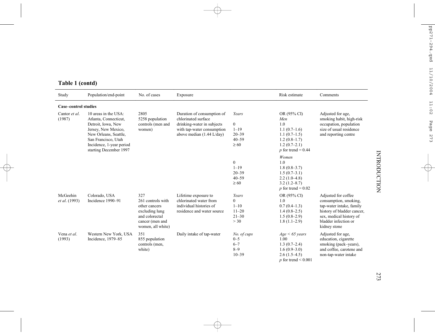| Study                       | Population/end-point                                                                                                                                                                             | No. of cases                                                                                                          | Exposure                                                                                                                                             |                                                                              | Risk estimate                                                                                                             | Comments                                                                                                                                                                  |
|-----------------------------|--------------------------------------------------------------------------------------------------------------------------------------------------------------------------------------------------|-----------------------------------------------------------------------------------------------------------------------|------------------------------------------------------------------------------------------------------------------------------------------------------|------------------------------------------------------------------------------|---------------------------------------------------------------------------------------------------------------------------|---------------------------------------------------------------------------------------------------------------------------------------------------------------------------|
| <b>Case-control studies</b> |                                                                                                                                                                                                  |                                                                                                                       |                                                                                                                                                      |                                                                              |                                                                                                                           |                                                                                                                                                                           |
| Cantor et al.<br>(1987)     | 10 areas in the USA:<br>Atlanta, Connecticut,<br>Detroit, Iowa, New<br>Jersey, New Mexico,<br>New Orleans, Seattle,<br>San Francisco, Utah<br>Incidence, 1-year period<br>starting December 1997 | 2805<br>5258 population<br>controls (men and<br>women)                                                                | Duration of consumption of<br>chlorinated surface<br>drinking-water in subjects<br>with tap-water consumption<br>above median $(1.44 \text{ L/day})$ | Years<br>$\boldsymbol{0}$<br>$1 - 19$<br>$20 - 39$<br>$40 - 59$<br>$\geq 60$ | OR (95% CI)<br>Men<br>1.0<br>$1.1(0.7-1.6)$<br>$1.1(0.7-1.5)$<br>$1.2(0.8-1.7)$<br>$1.2(0.7-2.1)$<br>p for trend = $0.44$ | Adjusted for age,<br>smoking habit, high-risk<br>occupation, population<br>size of usual residence<br>and reporting centre                                                |
|                             |                                                                                                                                                                                                  |                                                                                                                       |                                                                                                                                                      | $\boldsymbol{0}$<br>$1 - 19$<br>$20 - 39$<br>$40 - 59$<br>$\geq 60$          | Women<br>1.0<br>$1.8(0.8-3.7)$<br>$1.5(0.7-3.1)$<br>$2.2(1.0-4.8)$<br>$3.2(1.2 - 8.7)$<br>p for trend = $0.02$            |                                                                                                                                                                           |
| McGeehin<br>et al. (1993)   | Colorado, USA<br>Incidence 1990-91                                                                                                                                                               | 327<br>261 controls with<br>other cancers<br>excluding lung<br>and colorectal<br>cancer (men and<br>women, all white) | Lifetime exposure to<br>chlorinated water from<br>individual histories of<br>residence and water source                                              | Years<br>$\theta$<br>$1 - 10$<br>$11 - 20$<br>$21 - 30$<br>> 30              | OR (95% CI)<br>1.0<br>$0.7(0.4-1.3)$<br>$1.4(0.8-2.5)$<br>$1.5(0.8-2.9)$<br>$1.8(1.1-2.9)$                                | Adjusted for coffee<br>consumption, smoking,<br>tap-water intake, family<br>history of bladder cancer,<br>sex, medical history of<br>bladder infection or<br>kidney stone |
| Vena et al.<br>(1993)       | Western New York, USA<br>Incidence, 1979-85                                                                                                                                                      | 351<br>855 population<br>controls (men,<br>white)                                                                     | Daily intake of tap-water                                                                                                                            | No. of cups<br>$0 - 5$<br>$6 - 7$<br>$8 - 9$<br>$10 - 39$                    | $Age \leq 65 \text{ years}$<br>1.00<br>$1.3(0.7-2.4)$<br>$1.6(0.9-3.0)$<br>$2.6(1.5-4.5)$<br>p for trend $\leq 0.001$     | Adjusted for age.<br>education, cigarette<br>smoking (pack–years),<br>and coffee, carotene and<br>non-tap-water intake                                                    |

### **Table 1 (contd)**

273

# INTRODUCTION INTRODUCTION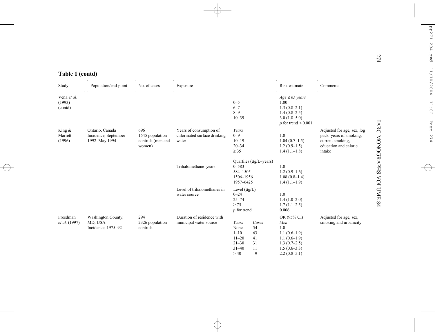| Study                            | Population/end-point                                     | No. of cases                                          | Exposure                                                          |                                                                          |                                          | Risk estimate                                                                                                       | Comments                                                                                                    |
|----------------------------------|----------------------------------------------------------|-------------------------------------------------------|-------------------------------------------------------------------|--------------------------------------------------------------------------|------------------------------------------|---------------------------------------------------------------------------------------------------------------------|-------------------------------------------------------------------------------------------------------------|
| Vena et al.<br>(1993)<br>(contd) |                                                          |                                                       |                                                                   | $0 - 5$<br>$6 - 7$<br>$8 - 9$<br>$10 - 39$                               |                                          | $Age \geq 65 \text{ years}$<br>1.00<br>$1.3(0.8-2.1)$<br>$1.4(0.8-2.5)$<br>$3.0(1.8-5.0)$<br>$p$ for trend < 0.001  |                                                                                                             |
| King &<br>Marrett<br>(1996)      | Ontario, Canada<br>Incidence, September<br>1992-May 1994 | 696<br>1545 population<br>controls (men and<br>women) | Years of consumption of<br>chlorinated surface drinking-<br>water | Years<br>$0 - 9$<br>$10 - 19$<br>$20 - 34$<br>$\geq$ 35                  |                                          | 1.0<br>$1.04(0.7-1.5)$<br>$1.2(0.9-1.5)$<br>$1.4(1.1-1.8)$                                                          | Adjusted for age, sex, log<br>pack-years of smoking,<br>current smoking,<br>education and calorie<br>intake |
|                                  |                                                          |                                                       | Trihalomethane-years                                              | $0 - 583$<br>584-1505<br>1506-1956<br>1957-6425                          | Quartiles ( $\mu$ g/L-years)             | 1.0<br>$1.2(0.9-1.6)$<br>$1.08(0.8-1.4)$<br>$1.4(1.1-1.9)$                                                          |                                                                                                             |
|                                  |                                                          |                                                       | Level of trihalomethanes in<br>water source                       | Level $(\mu g/L)$<br>$0 - 24$<br>$25 - 74$<br>$\geq 75$<br>$p$ for trend |                                          | 1.0<br>$1.4(1.0-2.0)$<br>$1.7(1.1-2.5)$<br>0.006                                                                    |                                                                                                             |
| Freedman<br><i>et al.</i> (1997) | Washington County,<br>MD, USA<br>Incidence, 1975-92      | 294<br>2326 population<br>controls                    | Duration of residence with<br>municipal water source              | Years<br>None<br>$1 - 10$<br>$11 - 20$<br>$21 - 30$<br>$31 - 40$<br>>40  | Cases<br>54<br>63<br>41<br>31<br>11<br>9 | OR (95% CI)<br>Men<br>1.0<br>$1.1(0.6-1.9)$<br>$1.1(0.6-1.9)$<br>$1.3(0.7-2.5)$<br>$1.5(0.6-3.3)$<br>$2.2(0.8-5.1)$ | Adjusted for age, sex,<br>smoking and urbanicity                                                            |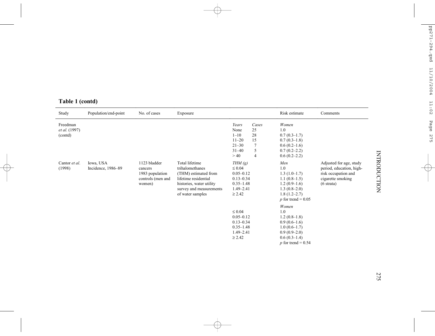| Study                                       | Population/end-point            | No. of cases                                                              | Exposure                                                                                                                                                     |                                                                                                                 |                                   | Risk estimate                                                                                                                                    | Comments                                                                                                                |
|---------------------------------------------|---------------------------------|---------------------------------------------------------------------------|--------------------------------------------------------------------------------------------------------------------------------------------------------------|-----------------------------------------------------------------------------------------------------------------|-----------------------------------|--------------------------------------------------------------------------------------------------------------------------------------------------|-------------------------------------------------------------------------------------------------------------------------|
| Freedman<br><i>et al.</i> (1997)<br>(contd) |                                 |                                                                           |                                                                                                                                                              | Years<br>None<br>$1 - 10$<br>$11 - 20$<br>$21 - 30$<br>$31 - 40$                                                | Cases<br>25<br>28<br>15<br>7<br>5 | Women<br>1.0<br>$0.7(0.3-1.7)$<br>$0.7(0.3-1.8)$<br>$0.6(0.2-1.6)$<br>$0.7(0.2 - 2.2)$                                                           |                                                                                                                         |
| Cantor et al.<br>(1998)                     | Iowa, USA<br>Incidence, 1986-89 | 1123 bladder<br>cancers<br>1983 population<br>controls (men and<br>women) | Total lifetime<br>trihalomethanes<br>(THM) estimated from<br>lifetime residential<br>histories, water utility<br>survey and measurements<br>of water samples | >40<br>THM(g)<br>$\leq 0.04$<br>$0.05 - 0.12$<br>$0.13 - 0.34$<br>$0.35 - 1.48$<br>$1.49 - 2.41$<br>$\geq 2.42$ | $\overline{4}$                    | $0.6(0.2-2.2)$<br>Men<br>1.0<br>$1.3(1.0-1.7)$<br>$1.1(0.8-1.5)$<br>$1.2(0.9-1.6)$<br>$1.3(0.8-2.0)$<br>$1.8(1.2 - 2.7)$<br>p for trend = $0.05$ | Adjusted for age, study<br>period, education, high-<br>risk occupation and<br>cigarette smoking<br>$(6 \text{ strata})$ |
|                                             |                                 |                                                                           |                                                                                                                                                              | $\leq 0.04$<br>$0.05 - 0.12$<br>$0.13 - 0.34$<br>$0.35 - 1.48$<br>$1.49 - 2.41$<br>$\geq 2.42$                  |                                   | Women<br>1.0<br>$1.2(0.8-1.8)$<br>$0.9(0.6-1.6)$<br>$1.0(0.6-1.7)$<br>$0.9(0.9-2.0)$<br>$0.6(0.3-1.4)$<br>p for trend = $0.54$                   |                                                                                                                         |

### **Table 1 (contd)**

275

# **INTRODUCTION** INTRODUCTION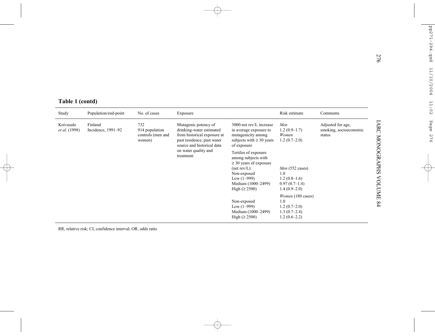| Table 1 (contd) |  |
|-----------------|--|
|                 |  |

| Table 1 (contd)<br>Study   | Population/end-point          | No. of cases                                         | Exposure                                                                                                                                                               |                                                                                                                         | Risk estimate                                                                  | Comments                                              |
|----------------------------|-------------------------------|------------------------------------------------------|------------------------------------------------------------------------------------------------------------------------------------------------------------------------|-------------------------------------------------------------------------------------------------------------------------|--------------------------------------------------------------------------------|-------------------------------------------------------|
| Koivusalo<br>et al. (1998) | Finland<br>Incidence, 1991-92 | 732<br>914 population<br>controls (men and<br>women) | Mutagenic potency of<br>drinking-water estimated<br>from historical exposure at<br>past residence, past water<br>source and historical data                            | 3000-net rev/L increase<br>in average exposure to<br>mutagenicity among<br>subjects with $\geq 30$ years<br>of exposure | Men<br>$1.2(0.9-1.7)$<br>Women<br>$1.2(0.7-2.0)$                               | Adjusted for age,<br>smoking, socioeconomic<br>status |
|                            | treatment                     | on water quality and                                 | Tertiles of exposure<br>among subjects with<br>$\geq$ 30 years of exposure<br>(net rev/L):<br>Non-exposed<br>Low $(1-999)$<br>Medium (1000-2499)<br>High $(\geq 2500)$ | Men (552 cases)<br>1.0<br>$1.2(0.8-1.6)$<br>$0.97(0.7-1.4)$<br>$1.4(0.9-2.0)$                                           |                                                                                |                                                       |
|                            |                               |                                                      |                                                                                                                                                                        | Non-exposed<br>Low $(1-999)$<br>Medium (1000–2499)<br>High $(\geq 2500)$                                                | Women (180 cases)<br>1.0<br>$1.2(0.7-2.0)$<br>$1.3(0.7-2.4)$<br>$1.2(0.6-2.2)$ |                                                       |

RR, relative risk; CI, confidence interval; OR, odds ratio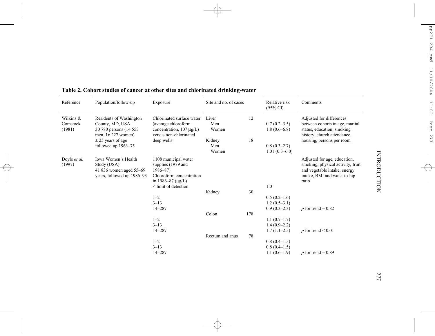| Reference                       | Population/follow-up                                                                        | Exposure                                                                                                        | Site and no. of cases |     | Relative risk<br>$(95\% \text{ CI})$               | Comments                                                                                                                                   |
|---------------------------------|---------------------------------------------------------------------------------------------|-----------------------------------------------------------------------------------------------------------------|-----------------------|-----|----------------------------------------------------|--------------------------------------------------------------------------------------------------------------------------------------------|
| Wilkins &<br>Comstock<br>(1981) | Residents of Washington<br>County, MD, USA<br>30 780 persons (14 553)<br>men, 16 227 women) | Chlorinated surface water<br>(average chloroform<br>concentration, $107 \mu g/L$ )<br>versus non-chlorinated    | Liver<br>Men<br>Women | 12  | $0.7(0.2-3.5)$<br>$1.8(0.6-6.8)$                   | Adjusted for differences<br>between cohorts in age, marital<br>status, education, smoking<br>history, church attendance,                   |
|                                 | $\geq$ 25 years of age                                                                      | deep wells                                                                                                      | Kidney                | 18  |                                                    | housing, persons per room                                                                                                                  |
|                                 | followed up 1963–75                                                                         |                                                                                                                 | Men<br>Women          |     | $0.8(0.3-2.7)$                                     |                                                                                                                                            |
|                                 |                                                                                             |                                                                                                                 |                       |     | $1.01(0.3-6.0)$                                    |                                                                                                                                            |
| Doyle <i>et al.</i><br>(1997)   | Iowa Women's Health<br>Study (USA)<br>41 836 women aged 55–69<br>years, followed up 1986–93 | 1108 municipal water<br>supplies (1979 and<br>$1986 - 87$<br>Chloroform concentration<br>in 1986–87 $(\mu g/L)$ |                       |     |                                                    | Adjusted for age, education,<br>smoking, physical activity, fruit<br>and vegetable intake, energy<br>intake, BMI and waist-to-hip<br>ratio |
|                                 |                                                                                             | < limit of detection                                                                                            |                       |     | 1.0                                                |                                                                                                                                            |
|                                 |                                                                                             |                                                                                                                 | Kidney                | 30  |                                                    |                                                                                                                                            |
|                                 |                                                                                             | $1 - 2$                                                                                                         |                       |     | $0.5(0.2-1.6)$                                     |                                                                                                                                            |
|                                 |                                                                                             | $3 - 13$<br>$14 - 287$                                                                                          |                       |     | $1.2(0.5-3.1)$<br>$0.9(0.3-2.3)$                   |                                                                                                                                            |
|                                 |                                                                                             |                                                                                                                 | Colon                 | 178 |                                                    | p for trend = $0.82$                                                                                                                       |
|                                 |                                                                                             | $1 - 2$<br>$3 - 13$<br>14-287                                                                                   |                       |     | $1.1(0.7-1.7)$<br>$1.4(0.9-2.2)$<br>$1.7(1.1-2.5)$ | p for trend $\leq 0.01$                                                                                                                    |
|                                 |                                                                                             |                                                                                                                 | Rectum and anus       | 78  |                                                    |                                                                                                                                            |
|                                 |                                                                                             | $1 - 2$                                                                                                         |                       |     | $0.8(0.4-1.5)$                                     |                                                                                                                                            |
|                                 |                                                                                             | $3 - 13$                                                                                                        |                       |     | $0.8(0.4-1.5)$                                     |                                                                                                                                            |
|                                 |                                                                                             | $14 - 287$                                                                                                      |                       |     | $1.1(0.6-1.9)$                                     | p for trend = $0.89$                                                                                                                       |

#### **Table 2. Cohort studies of cancer at other sites and chlorinated drinking-water**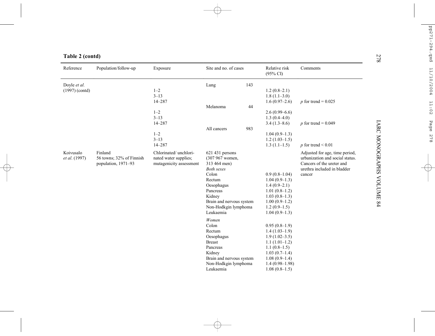| Reference                  | Population/follow-up                                       | Exposure                                                                   | Site and no. of cases                                                                                                                                                                           |     | Relative risk<br>$(95\% \text{ CI})$                                                                                                                                      | Comments                                                                                                                                |
|----------------------------|------------------------------------------------------------|----------------------------------------------------------------------------|-------------------------------------------------------------------------------------------------------------------------------------------------------------------------------------------------|-----|---------------------------------------------------------------------------------------------------------------------------------------------------------------------------|-----------------------------------------------------------------------------------------------------------------------------------------|
| Doyle et al.               |                                                            |                                                                            | Lung                                                                                                                                                                                            | 143 |                                                                                                                                                                           |                                                                                                                                         |
| $(1997)$ (contd)           |                                                            | $1 - 2$                                                                    |                                                                                                                                                                                                 |     | $1.2(0.8-2.1)$                                                                                                                                                            |                                                                                                                                         |
|                            |                                                            | $3 - 13$                                                                   |                                                                                                                                                                                                 |     | $1.8(1.1-3.0)$                                                                                                                                                            |                                                                                                                                         |
|                            |                                                            | $14 - 287$                                                                 |                                                                                                                                                                                                 |     | $1.6(0.97-2.6)$                                                                                                                                                           | p for trend = $0.025$                                                                                                                   |
|                            |                                                            |                                                                            | Melanoma                                                                                                                                                                                        | 44  |                                                                                                                                                                           |                                                                                                                                         |
|                            |                                                            | $1 - 2$                                                                    |                                                                                                                                                                                                 |     | $2.6(0.99-6.6)$                                                                                                                                                           |                                                                                                                                         |
|                            |                                                            | $3 - 13$                                                                   |                                                                                                                                                                                                 |     | $1.3(0.4-4.0)$                                                                                                                                                            |                                                                                                                                         |
|                            |                                                            | $14 - 287$                                                                 |                                                                                                                                                                                                 |     | $3.4(1.3-8.6)$                                                                                                                                                            | p for trend = $0.049$                                                                                                                   |
|                            |                                                            |                                                                            | All cancers                                                                                                                                                                                     | 983 |                                                                                                                                                                           |                                                                                                                                         |
|                            |                                                            | $1 - 2$                                                                    |                                                                                                                                                                                                 |     | $1.04(0.9-1.3)$                                                                                                                                                           |                                                                                                                                         |
|                            |                                                            | $3 - 13$                                                                   |                                                                                                                                                                                                 |     | $1.2(1.03-1.5)$                                                                                                                                                           |                                                                                                                                         |
|                            |                                                            | $14 - 287$                                                                 |                                                                                                                                                                                                 |     | $1.3(1.1-1.5)$                                                                                                                                                            | p for trend $\leq 0.01$                                                                                                                 |
| Koivusalo<br>et al. (1997) | Finland<br>56 towns; 32% of Finnish<br>population, 1971-93 | Chlorinated/ unchlori-<br>nated water supplies;<br>mutagenicity assessment | 621 431 persons<br>(307 967 women,<br>313 464 men)<br><b>Both sexes</b><br>Colon<br>Rectum<br>Oesophagus<br>Pancreas<br>Kidney<br>Brain and nervous system<br>Non-Hodkgin lymphoma<br>Leukaemia |     | $0.9(0.8-1.04)$<br>$1.04(0.9-1.3)$<br>$1.4(0.9-2.1)$<br>$1.01(0.8-1.2)$<br>$1.03(0.8-1.3)$<br>$1.00(0.9-1.2)$<br>$1.2(0.9-1.5)$<br>$1.04(0.9-1.3)$                        | Adjusted for age, time period,<br>urbanization and social status.<br>Cancers of the ureter and<br>urethra included in bladder<br>cancer |
|                            |                                                            |                                                                            | Women<br>Colon<br>Rectum<br>Oesophagus<br><b>Breast</b><br>Pancreas<br>Kidney<br>Brain and nervous system<br>Non-Hodkgin lymphoma<br>Leukaemia                                                  |     | $0.95(0.8-1.9)$<br>$1.4(1.03-1.9)$<br>$1.9(1.02 - 3.5)$<br>$1.1(1.01-1.2)$<br>$1.1(0.8-1.5)$<br>$1.03(0.7-1.4)$<br>$1.08(0.9-1.4)$<br>$1.4(0.98-1.98)$<br>$1.08(0.8-1.5)$ |                                                                                                                                         |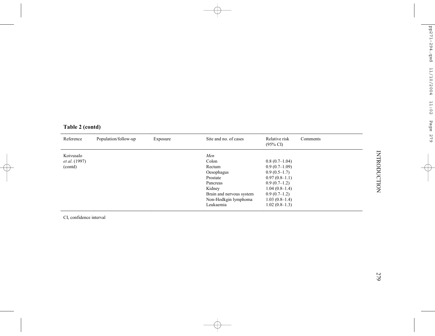| Table 2 (contd) |  |  |
|-----------------|--|--|
|                 |  |  |

| Reference<br>Population/follow-up<br>Exposure | Site and no. of cases                                                                                                                   | Relative risk<br>$(95\% \text{ C}I)$                                                                                                                                 | Comments |
|-----------------------------------------------|-----------------------------------------------------------------------------------------------------------------------------------------|----------------------------------------------------------------------------------------------------------------------------------------------------------------------|----------|
| Koivusalo<br><i>et al.</i> (1997)<br>(contd)  | Men<br>Colon<br>Rectum<br>Oesophagus<br>Prostate<br>Pancreas<br>Kidney<br>Brain and nervous system<br>Non-Hodkgin lymphoma<br>Leukaemia | $0.8(0.7-1.04)$<br>$0.9(0.7-1.09)$<br>$0.9(0.5-1.7)$<br>$0.97(0.8-1.1)$<br>$0.9(0.7-1.2)$<br>$1.04(0.8-1.4)$<br>$0.9(0.7-1.2)$<br>$1.03(0.8-1.4)$<br>$1.02(0.8-1.3)$ |          |

CI, confidence interval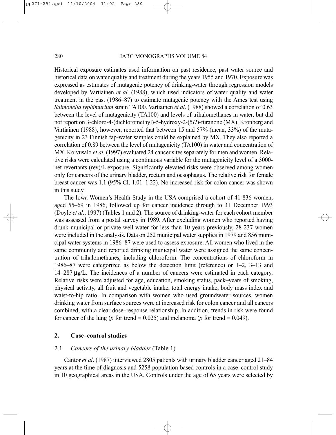#### 280 IARC MONOGRAPHS VOLUME 84

Historical exposure estimates used information on past residence, past water source and historical data on water quality and treatment during the years 1955 and 1970. Exposure was expressed as estimates of mutagenic potency of drinking-water through regression models developed by Vartiainen *et al*. (1988), which used indicators of water quality and water treatment in the past (1986–87) to estimate mutagenic potency with the Ames test using *Salmonella typhimurium* strain TA100. Vartiainen *et al*. (1988) showed a correlation of 0.63 between the level of mutagenicity (TA100) and levels of trihalomethanes in water, but did not report on 3-chloro-4-(dichloromethyl)-5-hydroxy-2-(5*H*)-furanone (MX). Kronberg and Vartiainen (1988), however, reported that between 15 and 57% (mean, 33%) of the mutagenicity in 23 Finnish tap-water samples could be explained by MX. They also reported a correlation of 0.89 between the level of mutagenicity (TA100) in water and concentration of MX. Koivusalo *et al.* (1997) evaluated 24 cancer sites separately for men and women. Relative risks were calculated using a continuous variable for the mutagenicity level of a 3000 net revertants (rev)/L exposure. Significantly elevated risks were observed among women only for cancers of the urinary bladder, rectum and oesophagus. The relative risk for female breast cancer was 1.1 (95% CI, 1.01–1.22). No increased risk for colon cancer was shown in this study.

The Iowa Women's Health Study in the USA comprised a cohort of 41 836 women, aged 55–69 in 1986, followed up for cancer incidence through to 31 December 1993 (Doyle *et al*., 1997) (Tables 1 and 2). The source of drinking-water for each cohort member was assessed from a postal survey in 1989. After excluding women who reported having drunk municipal or private well-water for less than 10 years previously, 28 237 women were included in the analysis. Data on 252 municipal water supplies in 1979 and 856 municipal water systems in 1986–87 were used to assess exposure. All women who lived in the same community and reported drinking municipal water were assigned the same concentration of trihalomethanes, including chloroform. The concentrations of chloroform in 1986–87 were categorized as below the detection limit (reference) or 1–2, 3–13 and 14–287 µg/L. The incidences of a number of cancers were estimated in each category. Relative risks were adjusted for age, education, smoking status, pack–years of smoking, physical activity, all fruit and vegetable intake, total energy intake, body mass index and waist-to-hip ratio. In comparison with women who used groundwater sources, women drinking water from surface sources were at increased risk for colon cancer and all cancers combined, with a clear dose–response relationship. In addition, trends in risk were found for cancer of the lung ( $p$  for trend = 0.025) and melanoma ( $p$  for trend = 0.049).

#### **2. Case–control studies**

#### 2.1 *Cancers of the urinary bladder* (Table 1)

Cantor *et al*. (1987) interviewed 2805 patients with urinary bladder cancer aged 21–84 years at the time of diagnosis and 5258 population-based controls in a case–control study in 10 geographical areas in the USA. Controls under the age of 65 years were selected by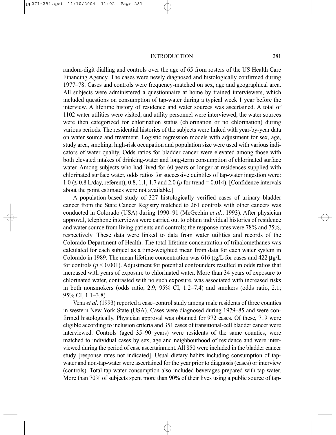random-digit dialling and controls over the age of 65 from rosters of the US Health Care Financing Agency. The cases were newly diagnosed and histologically confirmed during 1977–78. Cases and controls were frequency-matched on sex, age and geographical area. All subjects were administered a questionnaire at home by trained interviewers, which included questions on consumption of tap-water during a typical week 1 year before the interview. A lifetime history of residence and water sources was ascertained. A total of 1102 water utilities were visited, and utility personnel were interviewed; the water sources were then categorized for chlorination status (chlorination or no chlorination) during various periods. The residential histories of the subjects were linked with year-by-year data on water source and treatment. Logistic regression models with adjustment for sex, age, study area, smoking, high-risk occupation and population size were used with various indicators of water quality. Odds ratios for bladder cancer were elevated among those with both elevated intakes of drinking-water and long-term consumption of chlorinated surface water. Among subjects who had lived for 60 years or longer at residences supplied with chlorinated surface water, odds ratios for successive quintiles of tap-water ingestion were: 1.0 (≤ 0.8 L/day, referent), 0.8, 1.1, 1.7 and 2.0 (*p* for trend = 0.014). [Confidence intervals about the point estimates were not available.]

A population-based study of 327 histologically verified cases of urinary bladder cancer from the State Cancer Registry matched to 261 controls with other cancers was conducted in Colorado (USA) during 1990–91 (McGeehin *et al*., 1993). After physician approval, telephone interviews were carried out to obtain individual histories of residence and water source from living patients and controls; the response rates were 78% and 75%, respectively. These data were linked to data from water utilities and records of the Colorado Department of Health. The total lifetime concentration of trihalomethanes was calculated for each subject as a time-weighted mean from data for each water system in Colorado in 1989. The mean lifetime concentration was  $616 \mu g/L$  for cases and  $422 \mu g/L$ for controls ( $p < 0.001$ ). Adjustment for potential confounders resulted in odds ratios that increased with years of exposure to chlorinated water. More than 34 years of exposure to chlorinated water, contrasted with no such exposure, was associated with increased risks in both nonsmokers (odds ratio, 2.9; 95% CI, 1.2–7.4) and smokers (odds ratio, 2.1; 95% CI, 1.1–3.8).

Vena *et al*. (1993) reported a case–control study among male residents of three counties in western New York State (USA). Cases were diagnosed during 1979–85 and were confirmed histologically. Physician approval was obtained for 972 cases. Of these, 719 were eligible according to inclusion criteria and 351 cases of transitional-cell bladder cancer were interviewed. Controls (aged 35–90 years) were residents of the same counties, were matched to individual cases by sex, age and neighbourhood of residence and were interviewed during the period of case ascertainment. All 850 were included in the bladder cancer study [response rates not indicated]. Usual dietary habits including consumption of tapwater and non-tap-water were ascertained for the year prior to diagnosis (cases) or interview (controls). Total tap-water consumption also included beverages prepared with tap-water. More than 70% of subjects spent more than 90% of their lives using a public source of tap-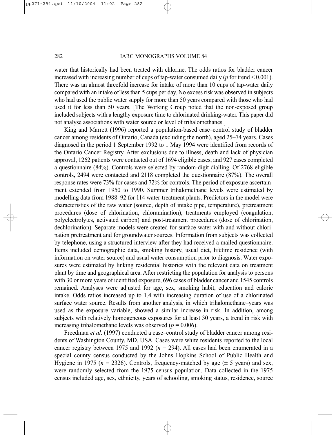#### 282 IARC MONOGRAPHS VOLUME 84

water that historically had been treated with chlorine. The odds ratios for bladder cancer increased with increasing number of cups of tap-water consumed daily (*p* for trend < 0.001). There was an almost threefold increase for intake of more than 10 cups of tap-water daily compared with an intake of less than 5 cups per day. No excess risk was observed in subjects who had used the public water supply for more than 50 years compared with those who had used it for less than 50 years. [The Working Group noted that the non-exposed group included subjects with a lengthy exposure time to chlorinated drinking-water. This paper did not analyse associations with water source or level of trihalomethanes.]

King and Marrett (1996) reported a population-based case–control study of bladder cancer among residents of Ontario, Canada (excluding the north), aged 25–74 years. Cases diagnosed in the period 1 September 1992 to 1 May 1994 were identified from records of the Ontario Cancer Registry. After exclusions due to illness, death and lack of physician approval, 1262 patients were contacted out of 1694 eligible cases, and 927 cases completed a questionnaire (84%). Controls were selected by random-digit dialling. Of 2768 eligible controls, 2494 were contacted and 2118 completed the questionnaire (87%). The overall response rates were 73% for cases and 72% for controls. The period of exposure ascertainment extended from 1950 to 1990. Summer trihalomethane levels were estimated by modelling data from 1988–92 for 114 water-treatment plants. Predictors in the model were characteristics of the raw water (source, depth of intake pipe, temperature), pretreatment procedures (dose of chlorination, chloramination), treatments employed (coagulation, polyelectrolytes, activated carbon) and post-treatment procedures (dose of chlorination, dechlorination). Separate models were created for surface water with and without chlorination pretreatment and for groundwater sources. Information from subjects was collected by telephone, using a structured interview after they had received a mailed questionnaire. Items included demographic data, smoking history, usual diet, lifetime residence (with information on water source) and usual water consumption prior to diagnosis. Water exposures were estimated by linking residential histories with the relevant data on treatment plant by time and geographical area. After restricting the population for analysis to persons with 30 or more years of identified exposure, 696 cases of bladder cancer and 1545 controls remained. Analyses were adjusted for age, sex, smoking habit, education and calorie intake. Odds ratios increased up to 1.4 with increasing duration of use of a chlorinated surface water source. Results from another analysis, in which trihalomethane–years was used as the exposure variable, showed a similar increase in risk. In addition, among subjects with relatively homogeneous exposures for at least 30 years, a trend in risk with increasing trihalomethane levels was observed ( $p = 0.006$ ).

Freedman *et al*. (1997) conducted a case–control study of bladder cancer among residents of Washington County, MD, USA. Cases were white residents reported to the local cancer registry between 1975 and 1992 ( $n = 294$ ). All cases had been enumerated in a special county census conducted by the Johns Hopkins School of Public Health and Hygiene in 1975 ( $n = 2326$ ). Controls, frequency-matched by age ( $\pm$  5 years) and sex, were randomly selected from the 1975 census population. Data collected in the 1975 census included age, sex, ethnicity, years of schooling, smoking status, residence, source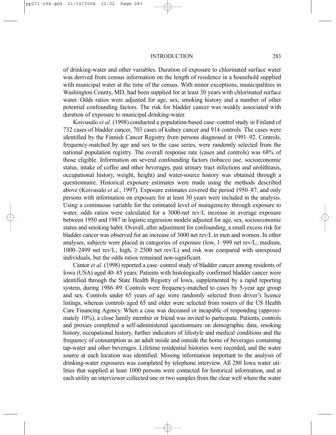of drinking-water and other variables. Duration of exposure to chlorinated surface water was derived from census information on the length of residence in a household supplied with municipal water at the time of the census. With minor exceptions, municipalities in Washington County, MD, had been supplied for at least 30 years with chlorinated surface water. Odds ratios were adjusted for age, sex, smoking history and a number of other potential confounding factors. The risk for bladder cancer was weakly associated with duration of exposure to municipal drinking-water.

Koivusalo *et al*. (1998) conducted a population-based case–control study in Finland of 732 cases of bladder cancer, 703 cases of kidney cancer and 914 controls. The cases were identified by the Finnish Cancer Registry from persons diagnosed in 1991–92. Controls, frequency-matched by age and sex to the case series, were randomly selected from the national population registry. The overall response rate (cases and controls) was 68% of those eligible. Information on several confounding factors (tobacco use, socioeconomic status, intake of coffee and other beverages, past urinary tract infections and urolithiasis, occupational history, weight, height) and water-source history was obtained through a questionnaire. Historical exposure estimates were made using the methods described above (Koivusalo *et al*., 1997). Exposure estimates covered the period 1950–87, and only persons with information on exposure for at least 30 years were included in the analysis. Using a continuous variable for the estimated level of mutagenicity through exposure to water, odds ratios were calculated for a 3000-net rev/L increase in average exposure between 1950 and 1987 in logistic regression models adjusted for age, sex, socioeconomic status and smoking habit. Overall, after adjustment for confounding, a small excess risk for bladder cancer was observed for an increase of 3000 net rev/L in men and women. In other analyses, subjects were placed in categories of exposure (low, 1–999 net rev/L; medium, 1000–2499 net rev/L; high,  $\geq$  2500 net rev/L) and risk was compared with unexposed individuals, but the odds ratios remained non-significant.

Cantor *et al.* (1998) reported a case–control study of bladder cancer among residents of Iowa (USA) aged 40–85 years. Patients with histologically confirmed bladder cancer were identified through the State Health Registry of Iowa, supplemented by a rapid reporting system, during 1986–89. Controls were frequency-matched to cases by 5-year age group and sex. Controls under 65 years of age were randomly selected from driver's licence listings, whereas controls aged 65 and older were selected from rosters of the US Health Care Financing Agency. When a case was deceased or incapable of responding (approximately 10%), a close family member or friend was invited to participate. Patients, controls and proxies completed a self-administered questionnaire on demographic data, smoking history, occupational history, further indicators of lifestyle and medical conditions and the frequency of consumption as an adult inside and outside the home of beverages containing tap-water and other beverages. Lifetime residential histories were recorded, and the water source at each location was identified. Missing information important to the analysis of drinking-water exposures was completed by telephone interview. All 280 Iowa water utilities that supplied at least 1000 persons were contacted for historical information, and at each utility an interviewer collected one or two samples from the clear well where the water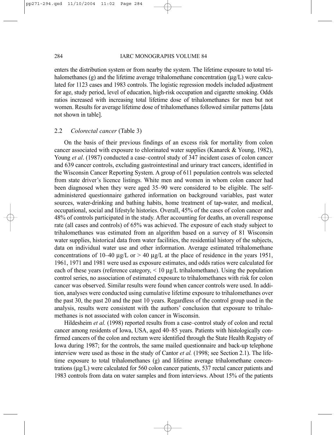#### 284 IARC MONOGRAPHS VOLUME 84

enters the distribution system or from nearby the system. The lifetime exposure to total trihalomethanes (g) and the lifetime average trihalomethane concentration  $(\mu g/L)$  were calculated for 1123 cases and 1983 controls. The logistic regression models included adjustment for age, study period, level of education, high-risk occupation and cigarette smoking. Odds ratios increased with increasing total lifetime dose of trihalomethanes for men but not women. Results for average lifetime dose of trihalomethanes followed similar patterns [data not shown in table].

#### 2.2 *Colorectal cancer* (Table 3)

On the basis of their previous findings of an excess risk for mortality from colon cancer associated with exposure to chlorinated water supplies (Kanarek & Young, 1982), Young *et al*. (1987) conducted a case–control study of 347 incident cases of colon cancer and 639 cancer controls, excluding gastrointestinal and urinary tract cancers, identified in the Wisconsin Cancer Reporting System. A group of 611 population controls was selected from state driver's licence listings. White men and women in whom colon cancer had been diagnosed when they were aged 35–90 were considered to be eligible. The selfadministered questionnaire gathered information on background variables, past water sources, water-drinking and bathing habits, home treatment of tap-water, and medical, occupational, social and lifestyle histories. Overall, 45% of the cases of colon cancer and 48% of controls participated in the study. After accounting for deaths, an overall response rate (all cases and controls) of 65% was achieved. The exposure of each study subject to trihalomethanes was estimated from an algorithm based on a survey of 81 Wisconsin water supplies, historical data from water facilities, the residential history of the subjects, data on individual water use and other information. Average estimated trihalomethane concentrations of 10–40  $\mu$ g/L or > 40  $\mu$ g/L at the place of residence in the years 1951, 1961, 1971 and 1981 were used as exposure estimates, and odds ratios were calculated for each of these years (reference category, < 10 µg/L trihalomethane). Using the population control series, no association of estimated exposure to trihalomethanes with risk for colon cancer was observed. Similar results were found when cancer controls were used. In addition, analyses were conducted using cumulative lifetime exposure to trihalomethanes over the past 30, the past 20 and the past 10 years. Regardless of the control group used in the analysis, results were consistent with the authors' conclusion that exposure to trihalomethanes is not associated with colon cancer in Wisconsin.

Hildesheim *et al.* (1998) reported results from a case–control study of colon and rectal cancer among residents of Iowa, USA, aged 40–85 years. Patients with histologically confirmed cancers of the colon and rectum were identified through the State Health Registry of Iowa during 1987; for the controls, the same mailed questionnaire and back-up telephone interview were used as those in the study of Cantor *et al.* (1998; see Section 2.1). The lifetime exposure to total trihalomethanes (g) and lifetime average trihalomethane concentrations (µg/L) were calculated for 560 colon cancer patients, 537 rectal cancer patients and 1983 controls from data on water samples and from interviews. About 15% of the patients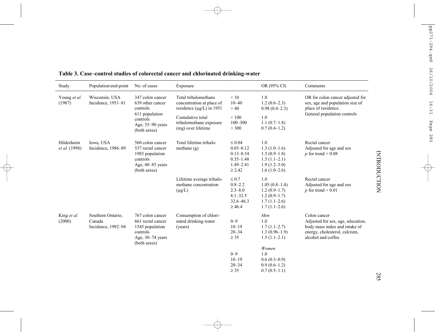| Study                       | Population/end-point                              | No. of cases                                                                                                       | Exposure                                                                                                                                                 |                                                                                                | OR (95% CI)                                                                                     | Comments                                                                                                                                  |
|-----------------------------|---------------------------------------------------|--------------------------------------------------------------------------------------------------------------------|----------------------------------------------------------------------------------------------------------------------------------------------------------|------------------------------------------------------------------------------------------------|-------------------------------------------------------------------------------------------------|-------------------------------------------------------------------------------------------------------------------------------------------|
| Young et al.<br>(1987)      | Wisconsin, USA<br>Incidence, 1951-81              | 347 colon cancer<br>639 other cancer<br>controls<br>611 population<br>controls<br>Age, 35-90 years<br>(both sexes) | Total trihalomethane<br>concentration at place of<br>residence ( $\mu$ g/L) in 1951<br>Cumulative total<br>trihalomethane exposure<br>(mg) over lifetime | < 10<br>$10 - 40$<br>>40<br>< 100<br>$100 - 300$<br>> 300                                      | 1.0<br>$1.2(0.6-2.3)$<br>$0.98(0.4-2.3)$<br>1.0<br>$1.1(0.7-1.8)$<br>$0.7(0.4-1.2)$             | OR for colon cancer adjusted for<br>sex, age and population size of<br>place of residence.<br>General population controls                 |
| Hildesheim<br>et al. (1998) | Iowa, USA<br>Incidence, 1986-89                   | 560 colon cancer<br>537 rectal cancer<br>1983 population<br>controls<br>Age, 40–85 years<br>(both sexes)           | Total lifetime trihalo-<br>methane $(g)$                                                                                                                 | $\leq 0.04$<br>$0.05 - 0.12$<br>$0.13 - 0.34$<br>$0.35 - 1.48$<br>$1.49 - 2.41$<br>$\geq 2.42$ | 1.0<br>$1.3(1.0-1.6)$<br>$1.3(0.9-1.8)$<br>$1.5(1.1-2.1)$<br>$1.9(1.2 - 3.0)$<br>$1.6(1.0-2.6)$ | Rectal cancer<br>Adjusted for age and sex<br>p for trend = $0.08$                                                                         |
|                             |                                                   |                                                                                                                    | Lifetime average trihalo-<br>methane concentration<br>$(\mu g/L)$                                                                                        | $\leq 0.7$<br>$0.8 - 2.2$<br>$2.3 - 8.0$<br>$8.1 - 32.5$<br>$32.6 - 46.3$<br>$\geq 46.4$       | 1.0<br>$1.05(0.8-1.4)$<br>$1.2(0.9-1.7)$<br>$1.2(0.9-1.7)$<br>$1.7(1.1-2.6)$<br>$1.7(1.1-2.6)$  | Rectal cancer<br>Adjusted for age and sex<br>p for trend = $0.01$                                                                         |
| King et al.<br>(2000)       | Southern Ontario.<br>Canada<br>Incidence, 1992-94 | 767 colon cancer<br>661 rectal cancer<br>1545 population<br>controls<br>Age, 30-74 years<br>(both sexes)           | Consumption of chlori-<br>nated drinking-water<br>(years)                                                                                                | $0 - 9$<br>$10 - 19$<br>$20 - 34$<br>$\geq$ 35                                                 | Men<br>1.0<br>$1.7(1.1-2.7)$<br>$1.3(0.96-1.9)$<br>$1.5(1.1-2.1)$<br>Women                      | Colon cancer<br>Adjusted for sex, age, education,<br>body mass index and intake of<br>energy, cholesterol, calcium,<br>alcohol and coffee |
|                             |                                                   |                                                                                                                    |                                                                                                                                                          | $0 - 9$<br>$10 - 19$<br>$20 - 34$<br>$\geq$ 35                                                 | 1.0<br>$0.6(0.3-0.9)$<br>$0.9(0.6-1.2)$<br>$0.7(0.5-1.1)$                                       |                                                                                                                                           |

**Table 3. Case–control studies of colorectal cancer and chlorinated drinking-water**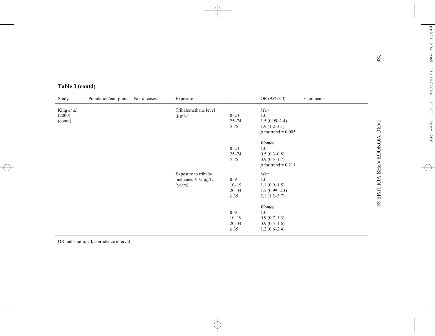| Trihalomethane level<br>Men<br>King et al.<br>1.0<br>$0 - 24$<br>(2000)<br>$(\mu g/L)$<br>$25 - 74$<br>$1.5(0.99-2.4)$<br>(contd)<br>$\geq 75$<br>$1.9(1.2-3.1)$<br>$p$ for trend = 0.005<br>Women<br>$0 - 24$<br>1.0<br>$25 - 74$<br>$0.5(0.3-0.8)$<br>$\geq 75$<br>$0.9(0.5-1.7)$ |
|-------------------------------------------------------------------------------------------------------------------------------------------------------------------------------------------------------------------------------------------------------------------------------------|
|                                                                                                                                                                                                                                                                                     |
| $p$ for trend = 0.211                                                                                                                                                                                                                                                               |
| Exposure to trihalo-<br>Men<br>$0 - 9$<br>1.0<br>methanes $\geq$ 75 µg/L<br>$10 - 19$<br>$1.1(0.9-1.5)$<br>(years)<br>$20 - 34$<br>$1.5(0.99-2.3)$<br>$\geq$ 35<br>$2.1(1.2-3.7)$                                                                                                   |

OR, odds ratio; CI, confidence interval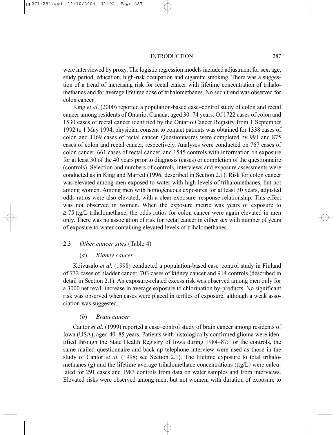were interviewed by proxy. The logistic regression models included adjustment for sex, age, study period, education, high-risk occupation and cigarette smoking. There was a suggestion of a trend of increasing risk for rectal cancer with lifetime concentration of trihalomethanes and for average lifetime dose of trihalomethanes. No such trend was observed for colon cancer.

King *et al*. (2000) reported a population-based case–control study of colon and rectal cancer among residents of Ontario, Canada, aged 30–74 years. Of 1722 cases of colon and 1530 cases of rectal cancer identified by the Ontario Cancer Registry from 1 September 1992 to 1 May 1994, physician consent to contact patients was obtained for 1338 cases of colon and 1169 cases of rectal cancer. Questionnaires were completed by 991 and 875 cases of colon and rectal cancer, respectively. Analyses were conducted on 767 cases of colon cancer, 661 cases of rectal cancer, and 1545 controls with information on exposure for at least 30 of the 40 years prior to diagnosis (cases) or completion of the questionnaire (controls). Selection and numbers of controls, interviews and exposure assessments were conducted as in King and Marrett (1996; described in Section 2.1). Risk for colon cancer was elevated among men exposed to water with high levels of trihalomethanes, but not among women. Among men with homogeneous exposures for at least 30 years, adjusted odds ratios were also elevated, with a clear exposure–response relationship. This effect was not observed in women. When the exposure metric was years of exposure to  $\geq$  75 µg/L trihalomethane, the odds ratios for colon cancer were again elevated in men only. There was no association of risk for rectal cancer in either sex with number of years of exposure to water containing elevated levels of trihalomethanes.

#### 2.3 *Other cancer sites* (Table 4)

#### (*a*) *Kidney cancer*

Koivusalo *et al.* (1998) conducted a population-based case–control study in Finland of 732 cases of bladder cancer, 703 cases of kidney cancer and 914 controls (described in detail in Section 2.1). An exposure-related excess risk was observed among men only for a 3000 net rev/L increase in average exposure to chlorination by-products. No significant risk was observed when cases were placed in tertiles of exposure, although a weak association was suggested.

#### (*b*) *Brain cancer*

Cantor *et al.* (1999) reported a case–control study of brain cancer among residents of Iowa (USA), aged 40–85 years. Patients with histologically confirmed glioma were identified through the State Health Registry of Iowa during 1984–87; for the controls, the same mailed questionnaire and back-up telephone interview were used as those in the study of Cantor *et al.* (1998; see Section 2.1). The lifetime exposure to total trihalomethanes (g) and the lifetime average trihalomethane concentrations  $(\mu g/L)$  were calculated for 291 cases and 1983 controls from data on water samples and from interviews. Elevated risks were observed among men, but not women, with duration of exposure to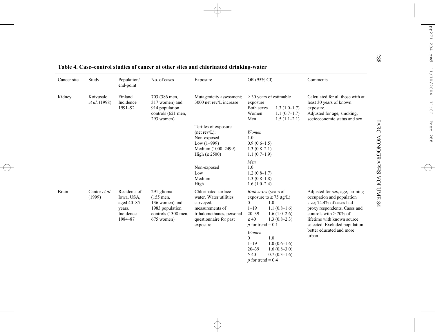| Cancer site | Study                      | Population/<br>end-point                                                   | No. of cases                                                                                        | Exposure                                                                                                                                         | OR (95% CI)                                                                                   |                                                                                          | Comments                                                                                                                                                                                                                                           |
|-------------|----------------------------|----------------------------------------------------------------------------|-----------------------------------------------------------------------------------------------------|--------------------------------------------------------------------------------------------------------------------------------------------------|-----------------------------------------------------------------------------------------------|------------------------------------------------------------------------------------------|----------------------------------------------------------------------------------------------------------------------------------------------------------------------------------------------------------------------------------------------------|
| Kidney      | Koivusalo<br>et al. (1998) | Finland<br>Incidence<br>1991-92                                            | 703 (386 men,<br>317 women) and<br>914 population<br>controls (621 men,<br>293 women)               | Mutagenicity assessment;<br>3000 net rev/L increase                                                                                              | exposure<br><b>Both sexes</b><br>Women<br>Men                                                 | $\geq$ 30 years of estimable<br>$1.3(1.0-1.7)$<br>$1.1(0.7-1.7)$<br>$1.5(1.1-2.1)$       | Calculated for all those with at<br>least 30 years of known<br>exposure.<br>Adjusted for age, smoking,<br>socioeconomic status and sex                                                                                                             |
|             |                            |                                                                            |                                                                                                     | Tertiles of exposure<br>(net rev/L):<br>Non-exposed<br>Low $(1-999)$<br>Medium (1000-2499)<br>High $(\geq 2500)$                                 | Women<br>1.0<br>$0.9(0.6-1.5)$<br>$1.3(0.8-2.1)$<br>$1.1(0.7-1.9)$                            |                                                                                          |                                                                                                                                                                                                                                                    |
|             |                            |                                                                            |                                                                                                     | Non-exposed<br>Low<br>Medium<br>High                                                                                                             | Men<br>1.0<br>$1.2(0.8-1.7)$<br>$1.3(0.8-1.8)$<br>$1.6(1.0-2.4)$                              |                                                                                          |                                                                                                                                                                                                                                                    |
| Brain       | Cantor et al.<br>(1999)    | Residents of<br>Iowa, USA,<br>aged 40-85<br>years.<br>Incidence<br>1984-87 | 291 glioma<br>$(155$ men,<br>136 women) and<br>1983 population<br>controls (1308 men,<br>675 women) | Chlorinated surface<br>water. Water utilities<br>surveyed,<br>measurements of<br>trihalomethanes, personal<br>questionnaire for past<br>exposure | Both sexes (years of<br>$\Omega$<br>$1 - 19$<br>$20 - 39$<br>$\geq 40$<br>p for trend = $0.1$ | exposure to $\geq$ 75 µg/L)<br>1.0<br>$1.1(0.8-1.6)$<br>$1.6(1.0-2.6)$<br>$1.3(0.8-2.3)$ | Adjusted for sex, age, farming<br>occupation and population<br>size; 74.4% of cases had<br>proxy respondents. Cases and<br>controls with $\geq 70\%$ of<br>lifetime with known source<br>selected. Excluded population<br>better educated and more |
|             |                            |                                                                            |                                                                                                     |                                                                                                                                                  | Women<br>$\theta$<br>$1 - 19$<br>$20 - 39$<br>$\geq 40$                                       | 1.0<br>$1.0(0.6-1.6)$<br>$1.6(0.8-3.0)$<br>$0.7(0.3-1.6)$                                | urban                                                                                                                                                                                                                                              |

 $p$  for trend = 0.4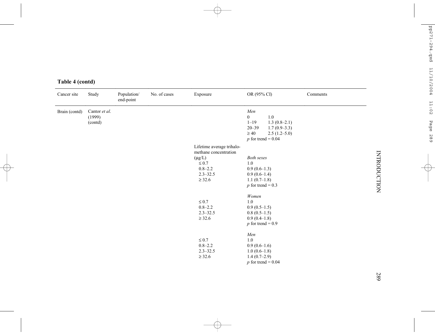| Cancer site   | Study                              | Population/<br>end-point | No. of cases | Exposure                                                                                                                      | OR (95% CI)                                                                                                                                            | Comments |
|---------------|------------------------------------|--------------------------|--------------|-------------------------------------------------------------------------------------------------------------------------------|--------------------------------------------------------------------------------------------------------------------------------------------------------|----------|
| Brain (contd) | Cantor et al.<br>(1999)<br>(contd) |                          |              |                                                                                                                               | Men<br>$\boldsymbol{0}$<br>$1.0\,$<br>$1 - 19$<br>$1.3(0.8-2.1)$<br>$20 - 39$<br>$1.7(0.9-3.3)$<br>$\geq 40$<br>$2.5(1.2-5.0)$<br>p for trend = $0.04$ |          |
|               |                                    |                          |              | Lifetime average trihalo-<br>methane concentration<br>$(\mu g/L)$<br>$\leq 0.7$<br>$0.8 - 2.2$<br>$2.3 - 32.5$<br>$\geq 32.6$ | <b>Both sexes</b><br>1.0<br>$0.9(0.6-1.3)$<br>$0.9(0.6-1.4)$<br>$1.1(0.7-1.8)$<br>p for trend = $0.3$                                                  |          |
|               |                                    |                          |              | $\leq 0.7$<br>$0.8 - 2.2$<br>$2.3 - 32.5$<br>$\geq 32.6$                                                                      | Women<br>1.0<br>$0.9(0.5-1.5)$<br>$0.8(0.5-1.5)$<br>$0.9(0.4-1.8)$<br>p for trend = $0.9$                                                              |          |
|               |                                    |                          |              | $\leq 0.7$<br>$0.8 - 2.2$<br>$2.3 - 32.5$<br>$\geq$ 32.6                                                                      | Men<br>1.0<br>$0.9(0.6-1.6)$<br>$1.0(0.6-1.8)$<br>$1.4(0.7-2.9)$<br>$p$ for trend = 0.04                                                               |          |

### **Table 4 (contd)**

**INTRODUCTION** INTRODUCTION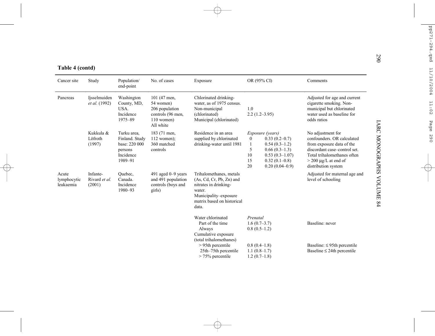| Table 4 (contd)                   |                                     |                                                                                   |                                                                                               |                                                                                                                                                          |                                                                                                                                                                                   |                                                                                                                                                                                              |  |  |
|-----------------------------------|-------------------------------------|-----------------------------------------------------------------------------------|-----------------------------------------------------------------------------------------------|----------------------------------------------------------------------------------------------------------------------------------------------------------|-----------------------------------------------------------------------------------------------------------------------------------------------------------------------------------|----------------------------------------------------------------------------------------------------------------------------------------------------------------------------------------------|--|--|
| Cancer site                       | Study                               | Population/<br>end-point                                                          | No. of cases                                                                                  | Exposure                                                                                                                                                 | OR (95% CI)                                                                                                                                                                       | Comments                                                                                                                                                                                     |  |  |
| Pancreas                          | Ijsselmuiden<br>et al. (1992)       | Washington<br>County, MD,<br>USA.<br>Incidence<br>1975-89                         | 101 (47 men,<br>54 women)<br>206 population<br>controls (96 men,<br>$110$ women)<br>All white | Chlorinated drinking-<br>water, as of 1975 census.<br>Non-municipal<br>(chlorinated)<br>Municipal (chlorinated)                                          | 1.0<br>$2.2(1.2-3.95)$                                                                                                                                                            | Adjusted for age and current<br>cigarette smoking. Non-<br>municipal but chlorinated<br>water used as baseline for<br>odds ratios                                                            |  |  |
|                                   | Kukkula &<br>Löfroth<br>(1997)      | Turku area,<br>Finland. Study<br>base: 220 000<br>persons<br>Incidence<br>1989-91 | 183 (71 men,<br>$112$ women);<br>360 matched<br>controls                                      | Residence in an area<br>supplied by chlorinated<br>drinking-water until 1981                                                                             | Exposure (years)<br>$0.33(0.2 - 0.7)$<br>$\overline{0}$<br>$0.54(0.3-1.2)$<br>5<br>$0.66(0.3-1.3)$<br>$0.53(0.3 - 1.07)$<br>10<br>15<br>$0.32(0.1-0.8)$<br>20<br>$0.20(0.04-0.9)$ | No adjustment for<br>confounders. OR calculated<br>from exposure data of the<br>discordant case-control set.<br>Total trihalomethanes often<br>$>$ 200 µg/L at end of<br>distribution system |  |  |
| Acute<br>lymphocytic<br>leukaemia | Infante-<br>Rivard et al.<br>(2001) | Quebec,<br>Canada.<br>Incidence<br>1980-93                                        | 491 aged 0-9 years<br>and 491 population<br>controls (boys and<br>girls)                      | Trihalomethanes, metals<br>$(As, Cd, Cr, Pb, Zn)$ and<br>nitrates in drinking-<br>water.<br>Municipality-exposure<br>matrix based on historical<br>data. |                                                                                                                                                                                   | Adjusted for maternal age and<br>level of schooling                                                                                                                                          |  |  |
|                                   |                                     |                                                                                   |                                                                                               | Water chlorinated<br>Part of the time<br>Always<br>Cumulative exposure<br>(total trihalomethanes)                                                        | Prenatal<br>$1.6(0.7-3.7)$<br>$0.8(0.5-1.2)$                                                                                                                                      | Baseline: never                                                                                                                                                                              |  |  |
|                                   |                                     |                                                                                   |                                                                                               | $> 95$ th percentile<br>25th-75th percentile<br>$> 75\%$ percentile                                                                                      | $0.8(0.4-1.8)$<br>$1.1(0.8-1.7)$<br>$1.2(0.7-1.8)$                                                                                                                                | Baseline: $\leq$ 95th percentile<br>Baseline $\leq$ 24th percentile                                                                                                                          |  |  |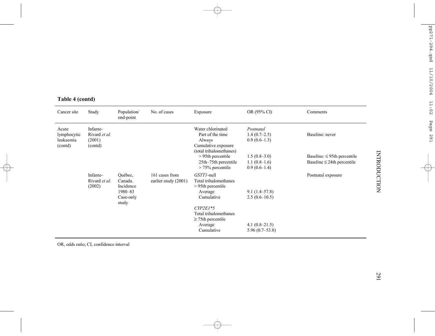# **INTRODUCTION** INTRODUCTION

#### **Table 4 (contd)**

| Cancer site                                  | Study                                          | Population/<br>end-point                                | No. of cases                           | Exposure                                                                                          | OR (95% CI)                                        | Comments                                                            |
|----------------------------------------------|------------------------------------------------|---------------------------------------------------------|----------------------------------------|---------------------------------------------------------------------------------------------------|----------------------------------------------------|---------------------------------------------------------------------|
| Acute<br>lymphocytic<br>leukaemia<br>(contd) | Infante-<br>Rivard et al.<br>(2001)<br>(contd) |                                                         |                                        | Water chlorinated<br>Part of the time<br>Always<br>Cumulative exposure<br>(total trihalomethanes) | Postnatal<br>$1.4(0.7-2.5)$<br>$0.9(0.6-1.3)$      | Baseline: never                                                     |
|                                              |                                                |                                                         |                                        | $> 95$ th percentile<br>25th–75th percentile<br>$> 75\%$ percentile                               | $1.5(0.8-3.0)$<br>$1.1(0.8-1.6)$<br>$0.9(0.6-1.4)$ | Baseline: $\leq$ 95th percentile<br>Baseline $\leq$ 24th percentile |
|                                              | Infante-<br>Rivard et al.<br>(2002)            | Ouébec.<br>Canada.<br>Incidence<br>1980-83<br>Case-only | 161 cases from<br>earlier study (2001) | GSTTI-null<br>Total trihalomethanes<br>$> 95$ th percentile<br>Average<br>Cumulative              | $9.1(1.4 - 57.8)$<br>$2.5(0.6-10.5)$               | Postnatal exposure                                                  |
|                                              |                                                | study                                                   |                                        | $CYP2E1*5$<br>Total trihalomethanes<br>$\geq$ 75th percentile<br>Average<br>Cumulative            | 4.1 $(0.8-21.5)$<br>$5.96(0.7-53.8)$               |                                                                     |

OR, odds ratio; CI, confidence interval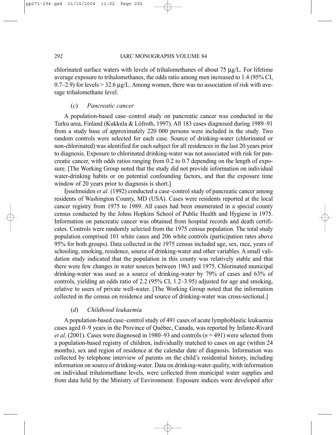chlorinated surface waters with levels of trihalomethanes of about 75  $\mu$ g/L. For lifetime average exposure to trihalomethanes, the odds ratio among men increased to 1.4 (95% CI, 0.7–2.9) for levels  $>$  32.6  $\mu$ g/L. Among women, there was no association of risk with average trihalomethane level.

#### (*c*) *Pancreatic cancer*

A population-based case–control study on pancreatic cancer was conducted in the Turku area, Finland (Kukkula & Löfroth, 1997). All 183 cases diagnosed during 1989–91 from a study base of approximately 220 000 persons were included in the study. Two random controls were selected for each case. Source of drinking-water (chlorinated or non-chlorinated) was identified for each subject for all residences in the last 20 years prior to diagnosis. Exposure to chlorinated drinking-water was not associated with risk for pancreatic cancer, with odds ratios ranging from 0.2 to 0.7 depending on the length of exposure. [The Working Group noted that the study did not provide information on individual water-drinking habits or on potential confounding factors, and that the exposure time window of 20 years prior to diagnosis is short.

Ijsselmuiden *et al*. (1992) conducted a case–control study of pancreatic cancer among residents of Washington County, MD (USA). Cases were residents reported at the local cancer registry from 1975 to 1989. All cases had been enumerated in a special county census conducted by the Johns Hopkins School of Public Health and Hygiene in 1975. Information on pancreatic cancer was obtained from hospital records and death certificates. Controls were randomly selected from the 1975 census population. The total study population comprised 101 white cases and 206 white controls (participation rates above 95% for both groups). Data collected in the 1975 census included age, sex, race, years of schooling, smoking, residence, source of drinking-water and other variables. A small validation study indicated that the population in this county was relatively stable and that there were few changes in water sources between 1963 and 1975. Chlorinated municipal drinking-water was used as a source of drinking-water by 79% of cases and 63% of controls, yielding an odds ratio of 2.2 (95% CI, 1.2–3.95) adjusted for age and smoking, relative to users of private well-water. [The Working Group noted that the information collected in the census on residence and source of drinking-water was cross-sectional.]

#### (*d*) *Childhood leukaemia*

A population-based case–control study of 491 cases of acute lymphoblastic leukaemia cases aged 0–9 years in the Province of Québec, Canada, was reported by Infante-Rivard *et al*. (2001). Cases were diagnosed in 1980–93 and controls (*n* = 491) were selected from a population-based registry of children, individually matched to cases on age (within 24 months), sex and region of residence at the calendar date of diagnosis. Information was collected by telephone interview of parents on the child's residential history, including information on source of drinking-water. Data on drinking-water quality, with information on individual trihalomethane levels, were collected from municipal water supplies and from data held by the Ministry of Environment. Exposure indices were developed after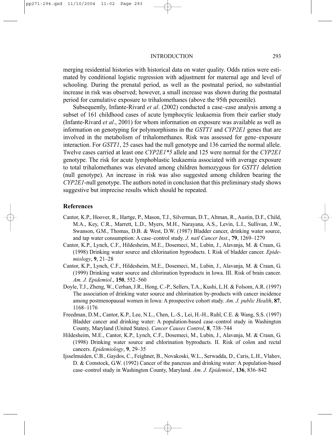merging residential histories with historical data on water quality. Odds ratios were estimated by conditional logistic regression with adjustment for maternal age and level of schooling. During the prenatal period, as well as the postnatal period, no substantial increase in risk was observed; however, a small increase was shown during the postnatal period for cumulative exposure to trihalomethanes (above the 95th percentile).

Subsequently, Infante-Rivard *et al*. (2002) conducted a case–case analysis among a subset of 161 childhood cases of acute lymphocytic leukaemia from their earlier study (Infante-Rivard *et al*., 2001) for whom information on exposure was available as well as information on genotyping for polymorphisms in the *GSTT1* and *CYP2E1* genes that are involved in the metabolism of trihalomethanes. Risk was assessed for gene–exposure interaction. For *GSTT1*, 25 cases had the null genotype and 136 carried the normal allele. Twelve cases carried at least one *CYP2E1\*5* allele and 125 were normal for the *CYP2E1* genotype. The risk for acute lymphoblastic leukaemia associated with average exposure to total trihalomethanes was elevated among children homozygous for *GSTT1* deletion (null genotype). An increase in risk was also suggested among children bearing the *CYP2E1*-null genotype. The authors noted in conclusion that this preliminary study shows suggestive but imprecise results which should be repeated.

#### **References**

- Cantor, K.P., Hoover, R., Hartge, P., Mason, T.J., Silverman, D.T., Altman, R., Austin, D.F., Child, M.A., Key, C.R., Marrett, L.D., Myers, M.H., Narayana, A.S., Levin, L.I., Sullivan, J.W., Swanson, G.M., Thomas, D.B. & West, D.W. (1987) Bladder cancer, drinking water source, and tap water consumption: A case–control study. *J. natl Cancer Inst*., **79**, 1269–1279
- Cantor, K.P., Lynch, C.F., Hildesheim, M.E., Dosemeci, M., Lubin, J., Alavanja, M. & Craun, G. (1998) Drinking water source and chlorination byproducts. I. Risk of bladder cancer. *Epidemiology*, **9**, 21–28
- Cantor, K.P., Lynch, C.F., Hildesheim, M.E., Dosemeci, M., Lubin, J., Alavanja, M. & Craun, G. (1999) Drinking water source and chlorination byproducts in Iowa. III. Risk of brain cancer. *Am. J. Epidemiol*., **150**, 552–560
- Doyle, T.J., Zheng, W., Cerhan, J.R., Hong, C.-P., Sellers, T.A., Kushi, L.H. & Folsom, A.R. (1997) The association of drinking water source and chlorination by-products with cancer incidence among postmenopausal women in Iowa: A prospective cohort study. *Am. J. public Health*, **87**, 1168–1176
- Freedman, D.M., Cantor, K.P., Lee, N.L., Chen, L.-S., Lei, H.-H., Ruhl, C.E. & Wang, S.S. (1997) Bladder cancer and drinking water: A population-based case–control study in Washington County, Maryland (United States). *Cancer Causes Control*, **8**, 738–744
- Hildesheim, M.E., Cantor, K.P., Lynch, C.F., Dosemeci, M., Lubin, J., Alavanja, M. & Craun, G. (1998) Drinking water source and chlorination byproducts. II. Risk of colon and rectal cancers. *Epidemiology*, **9**, 29–35
- Ijsselmuiden, C.B., Gaydos, C., Feighner, B., Novakoski, W.L., Serwadda, D., Caris, L.H., Vlahov, D. & Comstock, G.W. (1992) Cancer of the pancreas and drinking water: A population-based case–control study in Washington County, Maryland. *Am. J. Epidemiol.*, **136**, 836–842